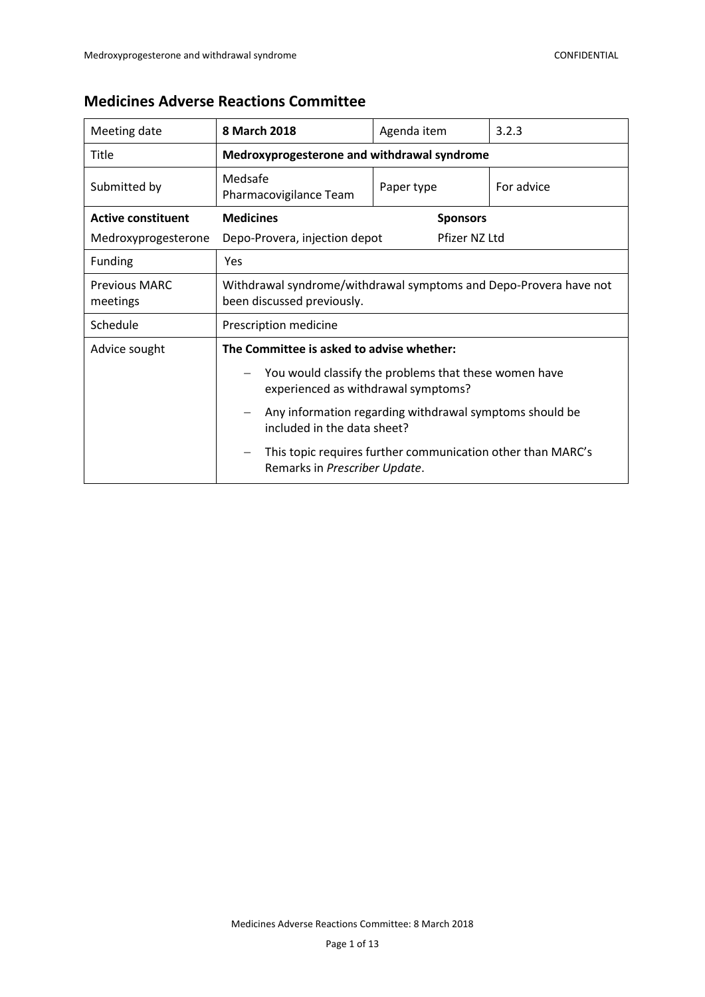| Meeting date                     | 8 March 2018                                                                                    | Agenda item                                                 | 3.2.3      |  |
|----------------------------------|-------------------------------------------------------------------------------------------------|-------------------------------------------------------------|------------|--|
| Title                            | Medroxyprogesterone and withdrawal syndrome                                                     |                                                             |            |  |
| Submitted by                     | Medsafe<br>Pharmacovigilance Team                                                               | Paper type                                                  | For advice |  |
| <b>Active constituent</b>        | <b>Medicines</b>                                                                                | <b>Sponsors</b>                                             |            |  |
| Medroxyprogesterone              | Pfizer NZ Ltd<br>Depo-Provera, injection depot                                                  |                                                             |            |  |
| <b>Funding</b>                   | Yes                                                                                             |                                                             |            |  |
| <b>Previous MARC</b><br>meetings | Withdrawal syndrome/withdrawal symptoms and Depo-Provera have not<br>been discussed previously. |                                                             |            |  |
| Schedule                         | Prescription medicine                                                                           |                                                             |            |  |
| Advice sought                    | The Committee is asked to advise whether:                                                       |                                                             |            |  |
|                                  | You would classify the problems that these women have<br>experienced as withdrawal symptoms?    |                                                             |            |  |
|                                  | included in the data sheet?                                                                     | Any information regarding withdrawal symptoms should be     |            |  |
|                                  | $\qquad \qquad -$<br>Remarks in Prescriber Update.                                              | This topic requires further communication other than MARC's |            |  |

# **Medicines Adverse Reactions Committee**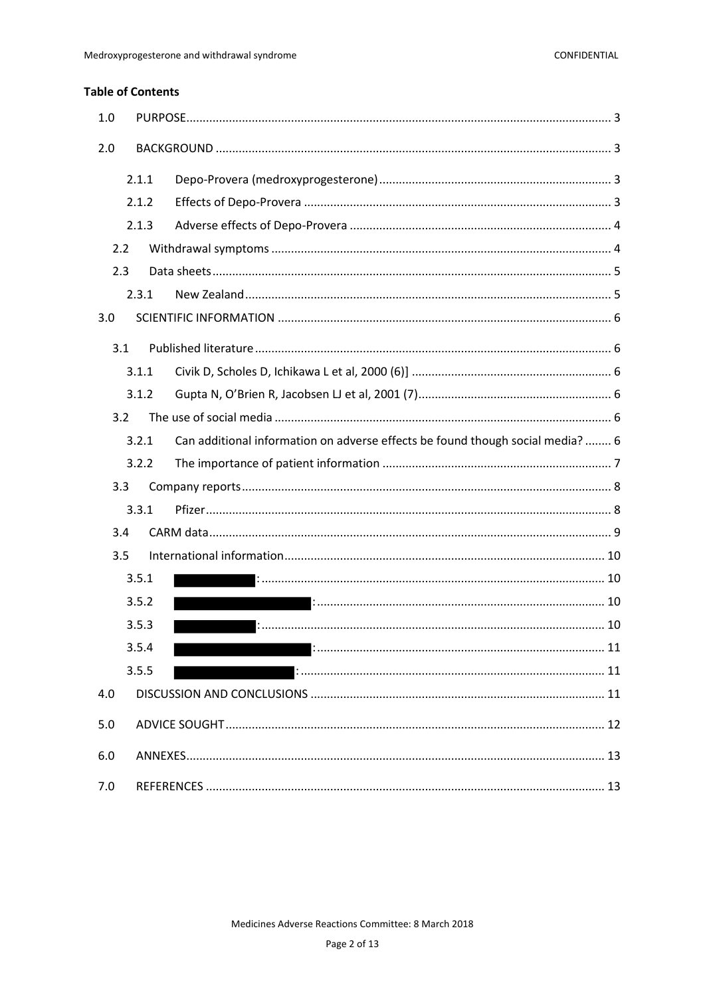### **Table of Contents**

| 1.0 |       |                                                                                |  |
|-----|-------|--------------------------------------------------------------------------------|--|
| 2.0 |       |                                                                                |  |
|     | 2.1.1 |                                                                                |  |
|     | 2.1.2 |                                                                                |  |
|     | 2.1.3 |                                                                                |  |
| 2.2 |       |                                                                                |  |
| 2.3 |       |                                                                                |  |
|     | 2.3.1 |                                                                                |  |
| 3.0 |       |                                                                                |  |
| 3.1 |       |                                                                                |  |
|     | 3.1.1 |                                                                                |  |
|     | 3.1.2 |                                                                                |  |
| 3.2 |       |                                                                                |  |
|     | 3.2.1 | Can additional information on adverse effects be found though social media?  6 |  |
|     | 3.2.2 |                                                                                |  |
| 3.3 |       |                                                                                |  |
|     | 3.3.1 |                                                                                |  |
| 3.4 |       |                                                                                |  |
| 3.5 |       |                                                                                |  |
|     | 3.5.1 | 10                                                                             |  |
|     | 3.5.2 | : 10                                                                           |  |
|     | 3.5.3 |                                                                                |  |
|     | 3.5.4 |                                                                                |  |
|     | 3.5.5 |                                                                                |  |
| 4.0 |       |                                                                                |  |
| 5.0 |       |                                                                                |  |
| 6.0 |       |                                                                                |  |
| 7.0 |       |                                                                                |  |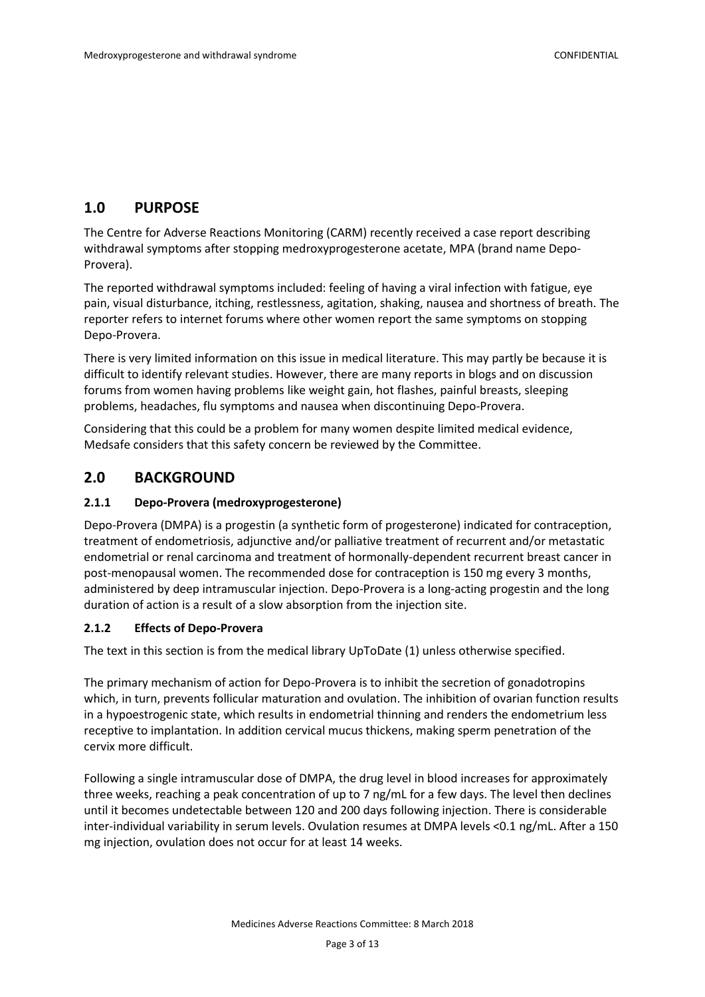# <span id="page-2-0"></span>**1.0 PURPOSE**

The Centre for Adverse Reactions Monitoring (CARM) recently received a case report describing withdrawal symptoms after stopping medroxyprogesterone acetate, MPA (brand name Depo-Provera).

The reported withdrawal symptoms included: feeling of having a viral infection with fatigue, eye pain, visual disturbance, itching, restlessness, agitation, shaking, nausea and shortness of breath. The reporter refers to internet forums where other women report the same symptoms on stopping Depo-Provera.

There is very limited information on this issue in medical literature. This may partly be because it is difficult to identify relevant studies. However, there are many reports in blogs and on discussion forums from women having problems like weight gain, hot flashes, painful breasts, sleeping problems, headaches, flu symptoms and nausea when discontinuing Depo-Provera.

Considering that this could be a problem for many women despite limited medical evidence, Medsafe considers that this safety concern be reviewed by the Committee.

# <span id="page-2-1"></span>**2.0 BACKGROUND**

### <span id="page-2-2"></span>**2.1.1 Depo-Provera (medroxyprogesterone)**

Depo-Provera (DMPA) is a progestin (a synthetic form of progesterone) indicated for contraception, treatment of endometriosis, adjunctive and/or palliative treatment of recurrent and/or metastatic endometrial or renal carcinoma and treatment of hormonally-dependent recurrent breast cancer in post-menopausal women. The recommended dose for contraception is 150 mg every 3 months, administered by deep intramuscular injection. Depo-Provera is a long-acting progestin and the long duration of action is a result of a slow absorption from the injection site.

#### <span id="page-2-3"></span>**2.1.2 Effects of Depo-Provera**

The text in this section is from the medical library UpToDate [\(1\)](#page-12-2) unless otherwise specified.

The primary mechanism of action for Depo-Provera is to inhibit the secretion of gonadotropins which, in turn, prevents follicular maturation and ovulation. The inhibition of ovarian function results in a hypoestrogenic state, which results in endometrial thinning and renders the endometrium less receptive to implantation. In addition cervical mucus thickens, making sperm penetration of the cervix more difficult.

Following a single intramuscular dose of DMPA, the drug level in blood increases for approximately three weeks, reaching a peak concentration of up to 7 ng/mL for a few days. The level then declines until it becomes undetectable between 120 and 200 days following injection. There is considerable inter-individual variability in serum levels. Ovulation resumes at DMPA levels <0.1 ng/mL. After a 150 mg injection, ovulation does not occur for at least 14 weeks.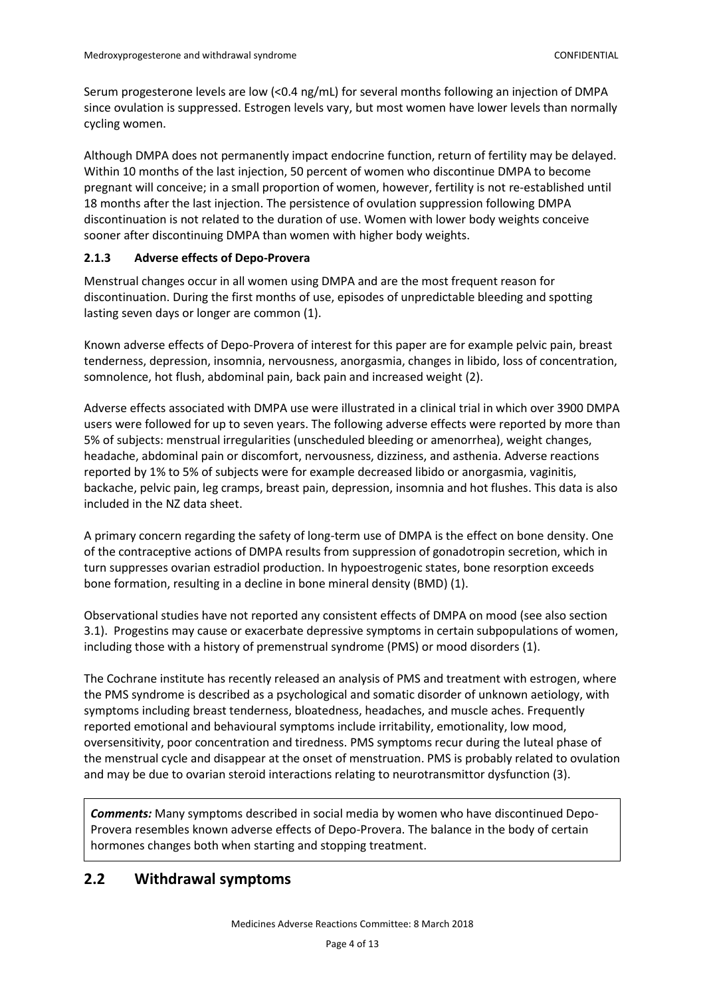Serum progesterone levels are low (<0.4 ng/mL) for several months following an injection of DMPA since ovulation is suppressed. Estrogen levels vary, but most women have lower levels than normally cycling women.

Although DMPA does not permanently impact endocrine function, return of fertility may be delayed. Within 10 months of the last injection, 50 percent of women who discontinue DMPA to become pregnant will conceive; in a small proportion of women, however, fertility is not re-established until 18 months after the last injection. The persistence of ovulation suppression following DMPA discontinuation is not related to the duration of use. Women with lower body weights conceive sooner after discontinuing DMPA than women with higher body weights.

#### <span id="page-3-0"></span>**2.1.3 Adverse effects of Depo-Provera**

Menstrual changes occur in all women using DMPA and are the most frequent reason for discontinuation. During the first months of use, episodes of unpredictable bleeding and spotting lasting seven days or longer are common [\(1\)](#page-12-2).

Known adverse effects of Depo-Provera of interest for this paper are for example pelvic pain, breast tenderness, depression, insomnia, nervousness, anorgasmia, changes in libido, loss of concentration, somnolence, hot flush, abdominal pain, back pain and increased weight [\(2\)](#page-12-3).

Adverse effects associated with DMPA use were illustrated in a clinical trial in which over 3900 DMPA users were followed for up to seven years. The following adverse effects were reported by more than 5% of subjects: menstrual irregularities (unscheduled bleeding or amenorrhea), weight changes, headache, abdominal pain or discomfort, nervousness, dizziness, and asthenia. Adverse reactions reported by 1% to 5% of subjects were for example decreased libido or anorgasmia, vaginitis, backache, pelvic pain, leg cramps, breast pain, depression, insomnia and hot flushes. This data is also included in the NZ data sheet.

A primary concern regarding the safety of long-term use of DMPA is the effect on bone density. One of the contraceptive actions of DMPA results from suppression of gonadotropin secretion, which in turn suppresses ovarian estradiol production. In hypoestrogenic states, bone resorption exceeds bone formation, resulting in a decline in bone mineral density (BMD) [\(1\)](#page-12-2).

Observational studies have not reported any consistent effects of DMPA on mood (see also section 3.1). Progestins may cause or exacerbate depressive symptoms in certain subpopulations of women, including those with a history of premenstrual syndrome (PMS) or mood disorders [\(1\)](#page-12-2).

The Cochrane institute has recently released an analysis of PMS and treatment with estrogen, where the PMS syndrome is described as a psychological and somatic disorder of unknown aetiology, with symptoms including breast tenderness, bloatedness, headaches, and muscle aches. Frequently reported emotional and behavioural symptoms include irritability, emotionality, low mood, oversensitivity, poor concentration and tiredness. PMS symptoms recur during the luteal phase of the menstrual cycle and disappear at the onset of menstruation. PMS is probably related to ovulation and may be due to ovarian steroid interactions relating to neurotransmittor dysfunction [\(3\)](#page-12-4).

*Comments:* Many symptoms described in social media by women who have discontinued Depo-Provera resembles known adverse effects of Depo-Provera. The balance in the body of certain hormones changes both when starting and stopping treatment.

# <span id="page-3-1"></span>**2.2 Withdrawal symptoms**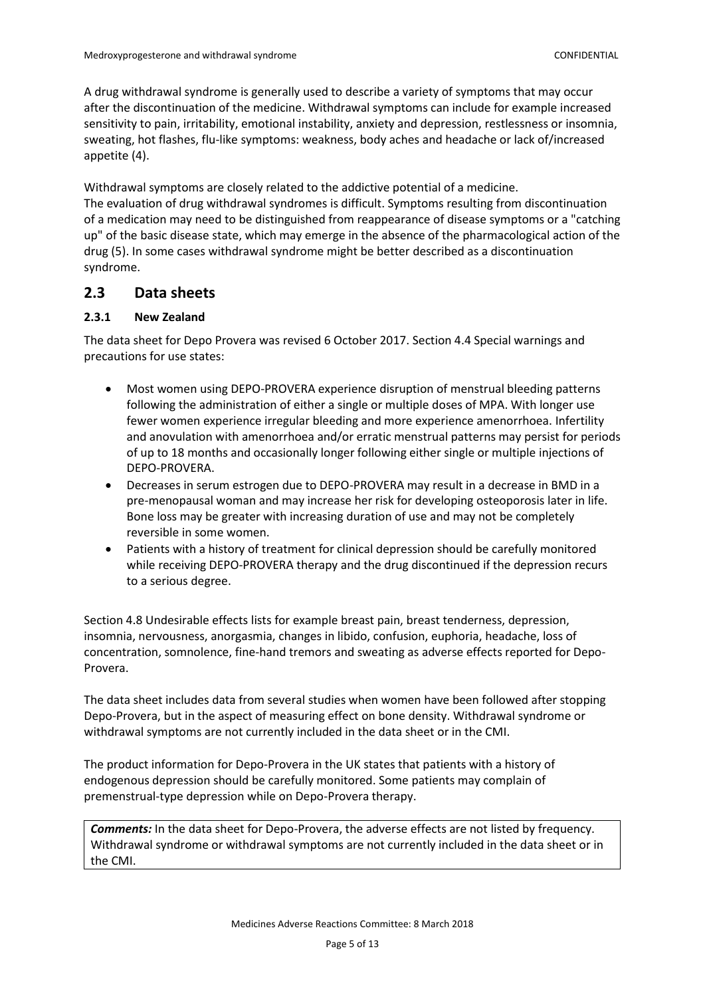A drug withdrawal syndrome is generally used to describe a variety of symptoms that may occur after the discontinuation of the medicine. Withdrawal symptoms can include for example increased sensitivity to pain, irritability, emotional instability, anxiety and depression, restlessness or insomnia, sweating, hot flashes, flu-like symptoms: weakness, body aches and headache or lack of/increased appetite [\(4\)](#page-12-5).

Withdrawal symptoms are closely related to the addictive potential of a medicine. The evaluation of drug withdrawal syndromes is difficult. Symptoms resulting from discontinuation of a medication may need to be distinguished from reappearance of disease symptoms or a "catching up" of the basic disease state, which may emerge in the absence of the pharmacological action of the drug [\(5\)](#page-12-6). In some cases withdrawal syndrome might be better described as a discontinuation syndrome.

### <span id="page-4-0"></span>**2.3 Data sheets**

#### <span id="page-4-1"></span>**2.3.1 New Zealand**

The data sheet for Depo Provera was revised 6 October 2017. Section 4.4 Special warnings and precautions for use states:

- Most women using DEPO-PROVERA experience disruption of menstrual bleeding patterns following the administration of either a single or multiple doses of MPA. With longer use fewer women experience irregular bleeding and more experience amenorrhoea. Infertility and anovulation with amenorrhoea and/or erratic menstrual patterns may persist for periods of up to 18 months and occasionally longer following either single or multiple injections of DEPO-PROVERA.
- Decreases in serum estrogen due to DEPO-PROVERA may result in a decrease in BMD in a pre-menopausal woman and may increase her risk for developing osteoporosis later in life. Bone loss may be greater with increasing duration of use and may not be completely reversible in some women.
- Patients with a history of treatment for clinical depression should be carefully monitored while receiving DEPO-PROVERA therapy and the drug discontinued if the depression recurs to a serious degree.

Section 4.8 Undesirable effects lists for example breast pain, breast tenderness, depression, insomnia, nervousness, anorgasmia, changes in libido, confusion, euphoria, headache, loss of concentration, somnolence, fine-hand tremors and sweating as adverse effects reported for Depo-Provera.

The data sheet includes data from several studies when women have been followed after stopping Depo-Provera, but in the aspect of measuring effect on bone density. Withdrawal syndrome or withdrawal symptoms are not currently included in the data sheet or in the CMI.

The product information for Depo-Provera in the UK states that patients with a history of endogenous depression should be carefully monitored. Some patients may complain of premenstrual-type depression while on Depo-Provera therapy.

*Comments:* In the data sheet for Depo-Provera, the adverse effects are not listed by frequency. Withdrawal syndrome or withdrawal symptoms are not currently included in the data sheet or in the CMI.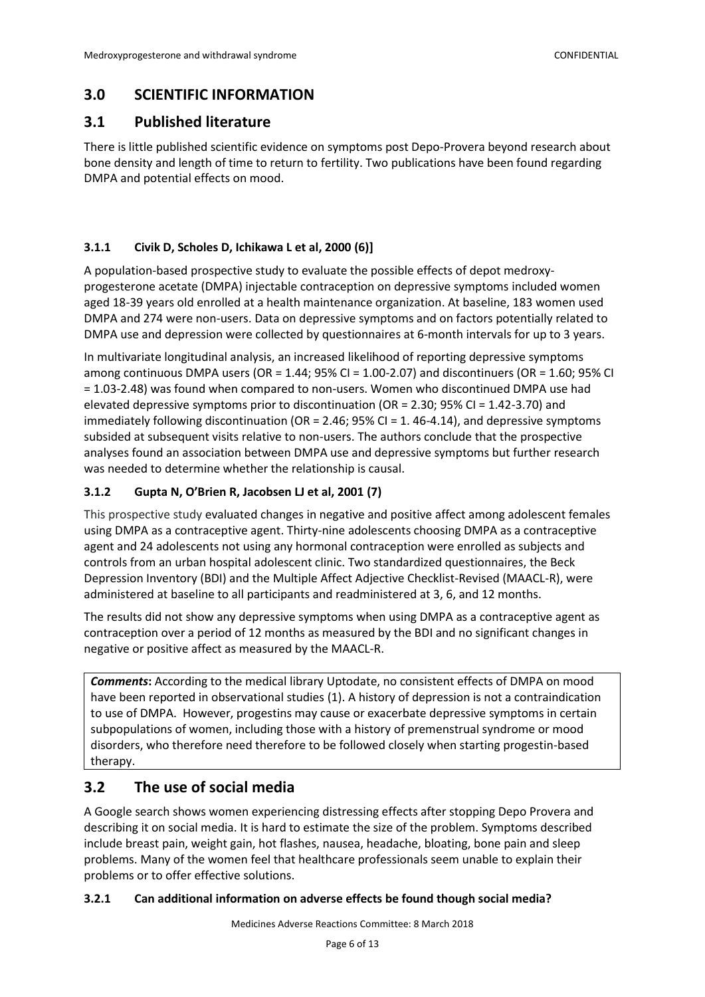# <span id="page-5-0"></span>**3.0 SCIENTIFIC INFORMATION**

# <span id="page-5-1"></span>**3.1 Published literature**

There is little published scientific evidence on symptoms post Depo-Provera beyond research about bone density and length of time to return to fertility. Two publications have been found regarding DMPA and potential effects on mood.

### <span id="page-5-2"></span>**3.1.1 Civik D, Scholes D, Ichikawa L et al, 2000 [\(6\)](#page-12-7)]**

A population-based prospective study to evaluate the possible effects of depot medroxyprogesterone acetate (DMPA) injectable contraception on depressive symptoms included women aged 18-39 years old enrolled at a health maintenance organization. At baseline, 183 women used DMPA and 274 were non-users. Data on depressive symptoms and on factors potentially related to DMPA use and depression were collected by questionnaires at 6-month intervals for up to 3 years.

In multivariate longitudinal analysis, an increased likelihood of reporting depressive symptoms among continuous DMPA users (OR =  $1.44$ ; 95% CI =  $1.00$ -2.07) and discontinuers (OR =  $1.60$ ; 95% CI = 1.03-2.48) was found when compared to non-users. Women who discontinued DMPA use had elevated depressive symptoms prior to discontinuation (OR = 2.30; 95% CI = 1.42-3.70) and immediately following discontinuation (OR = 2.46; 95% CI = 1.46-4.14), and depressive symptoms subsided at subsequent visits relative to non-users. The authors conclude that the prospective analyses found an association between DMPA use and depressive symptoms but further research was needed to determine whether the relationship is causal.

### <span id="page-5-3"></span>**3.1.2 Gupta N, O'Brien R, Jacobsen LJ et al, 2001 [\(7\)](#page-12-8)**

This prospective study evaluated changes in negative and positive affect among adolescent females using DMPA as a contraceptive agent. Thirty-nine adolescents choosing DMPA as a contraceptive agent and 24 adolescents not using any hormonal contraception were enrolled as subjects and controls from an urban hospital adolescent clinic. Two standardized questionnaires, the Beck Depression Inventory (BDI) and the Multiple Affect Adjective Checklist-Revised (MAACL-R), were administered at baseline to all participants and readministered at 3, 6, and 12 months.

The results did not show any depressive symptoms when using DMPA as a contraceptive agent as contraception over a period of 12 months as measured by the BDI and no significant changes in negative or positive affect as measured by the MAACL-R.

**Comments:** According to the medical library Uptodate, no consistent effects of DMPA on mood have been reported in observational studies [\(1\)](#page-12-2). A history of depression is not a contraindication to use of DMPA. However, progestins may cause or exacerbate depressive symptoms in certain subpopulations of women, including those with a history of premenstrual syndrome or mood disorders, who therefore need therefore to be followed closely when starting progestin-based therapy.

# <span id="page-5-4"></span>**3.2 The use of social media**

A Google search shows women experiencing distressing effects after stopping Depo Provera and describing it on social media. It is hard to estimate the size of the problem. Symptoms described include breast pain, weight gain, hot flashes, nausea, headache, bloating, bone pain and sleep problems. Many of the women feel that healthcare professionals seem unable to explain their problems or to offer effective solutions.

#### <span id="page-5-5"></span>**3.2.1 Can additional information on adverse effects be found though social media?**

Medicines Adverse Reactions Committee: 8 March 2018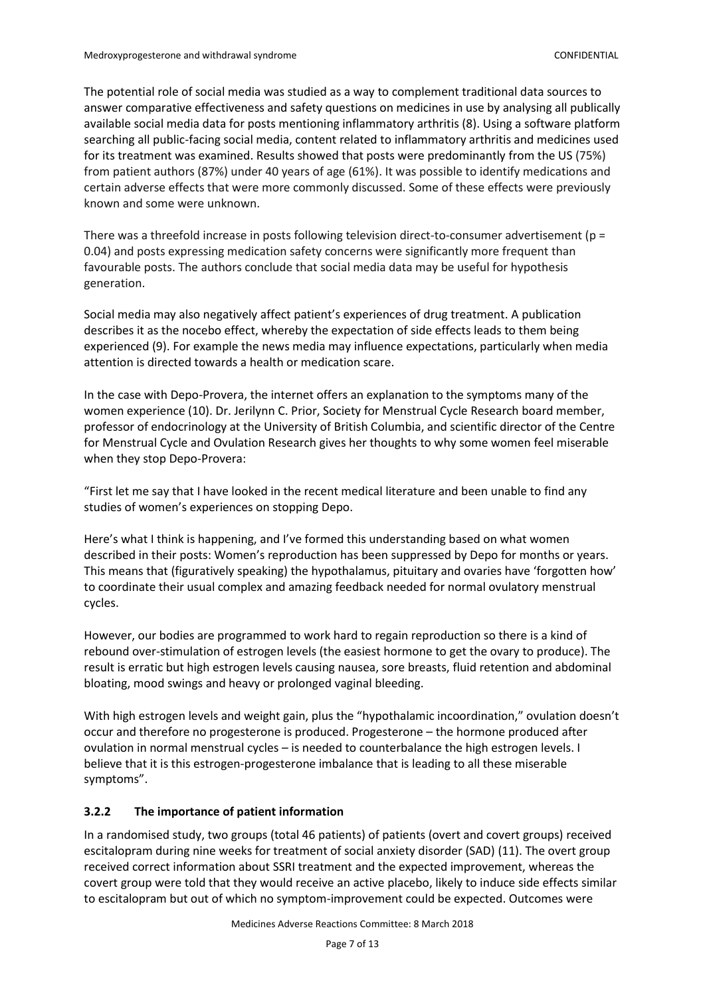The potential role of social media was studied as a way to complement traditional data sources to answer comparative effectiveness and safety questions on medicines in use by analysing all publically available social media data for posts mentioning inflammatory arthritis [\(8\)](#page-12-9). Using a software platform searching all public-facing social media, content related to inflammatory arthritis and medicines used for its treatment was examined. Results showed that posts were predominantly from the US (75%) from patient authors (87%) under 40 years of age (61%). It was possible to identify medications and certain adverse effects that were more commonly discussed. Some of these effects were previously known and some were unknown.

There was a threefold increase in posts following television direct-to-consumer advertisement (p = 0.04) and posts expressing medication safety concerns were significantly more frequent than favourable posts. The authors conclude that social media data may be useful for hypothesis generation.

Social media may also negatively affect patient's experiences of drug treatment. A publication describes it as the nocebo effect, whereby the expectation of side effects leads to them being experienced [\(9\)](#page-12-10). For example the news media may influence expectations, particularly when media attention is directed towards a health or medication scare.

In the case with Depo-Provera, the internet offers an explanation to the symptoms many of the women experience [\(10\)](#page-12-11). Dr. Jerilynn C. Prior[, Society for Menstrual Cycle Research](http://menstruationresearch.org/) board member, professor of endocrinology at the University of British Columbia, and scientific director of the [Centre](http://www.cemcor.ubc.ca/)  [for Menstrual Cycle and Ovulation Research](http://www.cemcor.ubc.ca/) gives her thoughts to why some women feel miserable when they stop Depo-Provera:

"First let me say that I have looked in the recent medical literature and been unable to find any studies of women's experiences on stopping Depo.

Here's what I think is happening, and I've formed this understanding based on what women described in their posts: Women's reproduction has been suppressed by Depo for months or years. This means that (figuratively speaking) the hypothalamus, pituitary and ovaries have 'forgotten how' to coordinate their usual complex and amazing feedback needed for normal ovulatory menstrual cycles.

However, our bodies are programmed to work hard to regain reproduction so there is a kind of rebound over-stimulation of estrogen levels (the easiest hormone to get the ovary to produce). The result is erratic but high estrogen levels causing nausea, sore breasts, fluid retention and abdominal bloating, mood swings and heavy or prolonged vaginal bleeding.

With high estrogen levels and weight gain, plus the "hypothalamic incoordination," ovulation doesn't occur and therefore no progesterone is produced. Progesterone – the hormone produced after ovulation in normal menstrual cycles – is needed to counterbalance the high estrogen levels. I believe that it is this estrogen-progesterone imbalance that is leading to all these miserable symptoms".

#### <span id="page-6-0"></span>**3.2.2 The importance of patient information**

In a randomised study, two groups (total 46 patients) of patients (overt and covert groups) received escitalopram during nine weeks for treatment of social anxiety disorder (SAD) [\(11\)](#page-12-12). The overt group received correct information about SSRI treatment and the expected improvement, whereas the covert group were told that they would receive an active placebo, likely to induce side effects similar to escitalopram but out of which no symptom-improvement could be expected. Outcomes were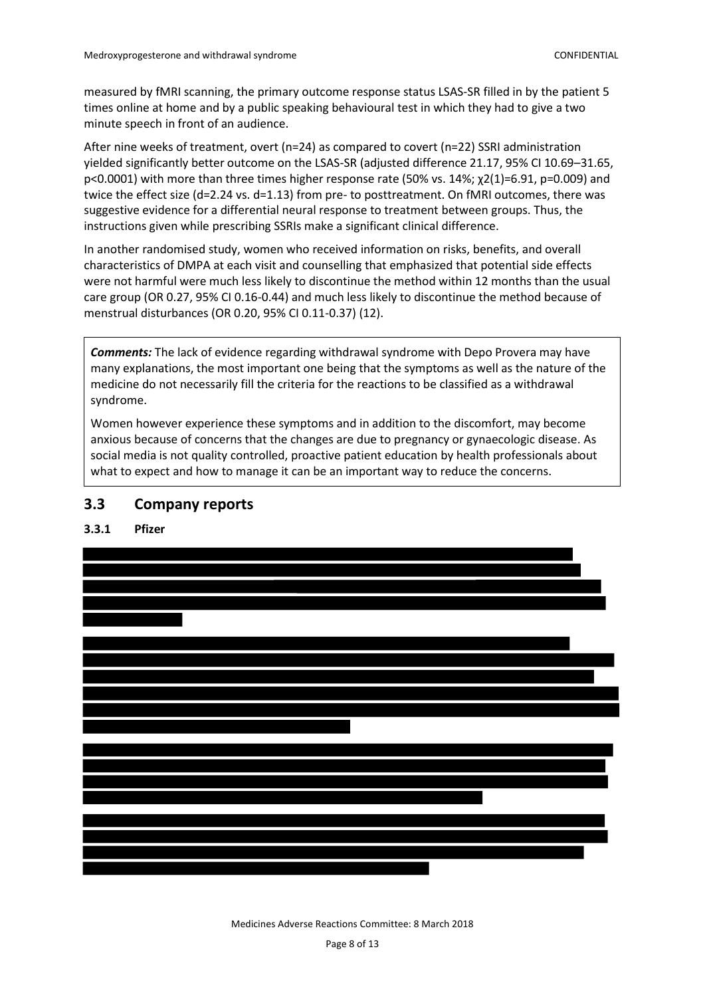measured by fMRI scanning, the primary outcome response status LSAS-SR filled in by the patient 5 times online at home and by a public speaking behavioural test in which they had to give a two minute speech in front of an audience.

After nine weeks of treatment, overt (n=24) as compared to covert (n=22) SSRI administration yielded significantly better outcome on the LSAS-SR (adjusted difference 21.17, 95% CI 10.69–31.65, p<0.0001) with more than three times higher response rate (50% vs. 14%; χ2(1)=6.91, p=0.009) and twice the effect size (d=2.24 vs. d=1.13) from pre- to posttreatment. On fMRI outcomes, there was suggestive evidence for a differential neural response to treatment between groups. Thus, the instructions given while prescribing SSRIs make a significant clinical difference.

In another randomised study, women who received information on risks, benefits, and overall characteristics of DMPA at each visit and counselling that emphasized that potential side effects were not harmful were much less likely to discontinue the method within 12 months than the usual care group (OR 0.27, 95% CI 0.16-0.44) and much less likely to discontinue the method because of menstrual disturbances (OR 0.20, 95% CI 0.11-0.37) [\(12\)](#page-12-13).

*Comments:* The lack of evidence regarding withdrawal syndrome with Depo Provera may have many explanations, the most important one being that the symptoms as well as the nature of the medicine do not necessarily fill the criteria for the reactions to be classified as a withdrawal syndrome.

Women however experience these symptoms and in addition to the discomfort, may become anxious because of concerns that the changes are due to pregnancy or gynaecologic disease. As social media is not quality controlled, proactive patient education by health professionals about what to expect and how to manage it can be an important way to reduce the concerns.

### <span id="page-7-0"></span>**3.3 Company reports**

<span id="page-7-1"></span>**3.3.1 Pfizer** 



Medicines Adverse Reactions Committee: 8 March 2018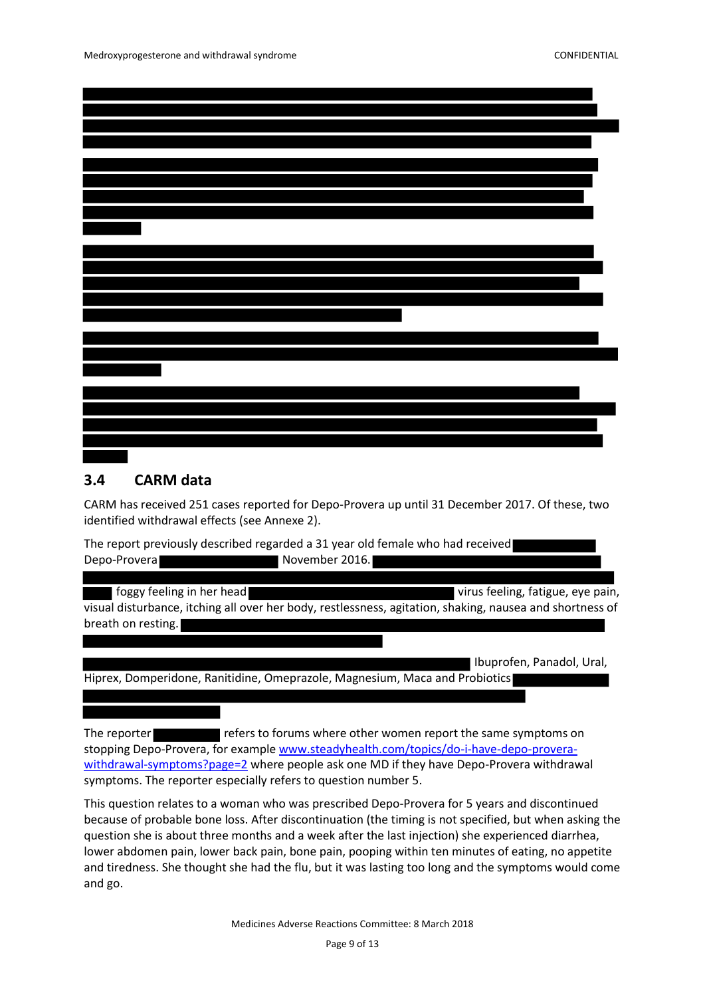### <span id="page-8-0"></span>**3.4 CARM data**

CARM has received 251 cases reported for Depo-Provera up until 31 December 2017. Of these, two identified withdrawal effects (see Annexe 2).

The report previously described regarded a 31 year old female who had received Depo-Provera November 2016.

**foggy feeling in her head virus feeling, fatigue, eye pain,** virus feeling, fatigue, eye pain, visual disturbance, itching all over her body, restlessness, agitation, shaking, nausea and shortness of breath on resting.

 Ibuprofen, Panadol, Ural, Hiprex, Domperidone, Ranitidine, Omeprazole, Magnesium, Maca and Probiotics

The reporter **refers to forums where other women report the same symptoms on** stopping Depo-Provera, for exampl[e www.steadyhealth.com/topics/do-i-have-depo-provera](http://www.steadyhealth.com/topics/do-i-have-depo-provera-withdrawal-symptoms?page=2)[withdrawal-symptoms?page=2](http://www.steadyhealth.com/topics/do-i-have-depo-provera-withdrawal-symptoms?page=2) where people ask one MD if they have Depo-Provera withdrawal symptoms. The reporter especially refers to question number 5.

This question relates to a woman who was prescribed Depo-Provera for 5 years and discontinued because of probable bone loss. After discontinuation (the timing is not specified, but when asking the question she is about three months and a week after the last injection) she experienced diarrhea, lower abdomen pain, lower back pain, bone pain, pooping within ten minutes of eating, no appetite and tiredness. She thought she had the flu, but it was lasting too long and the symptoms would come and go.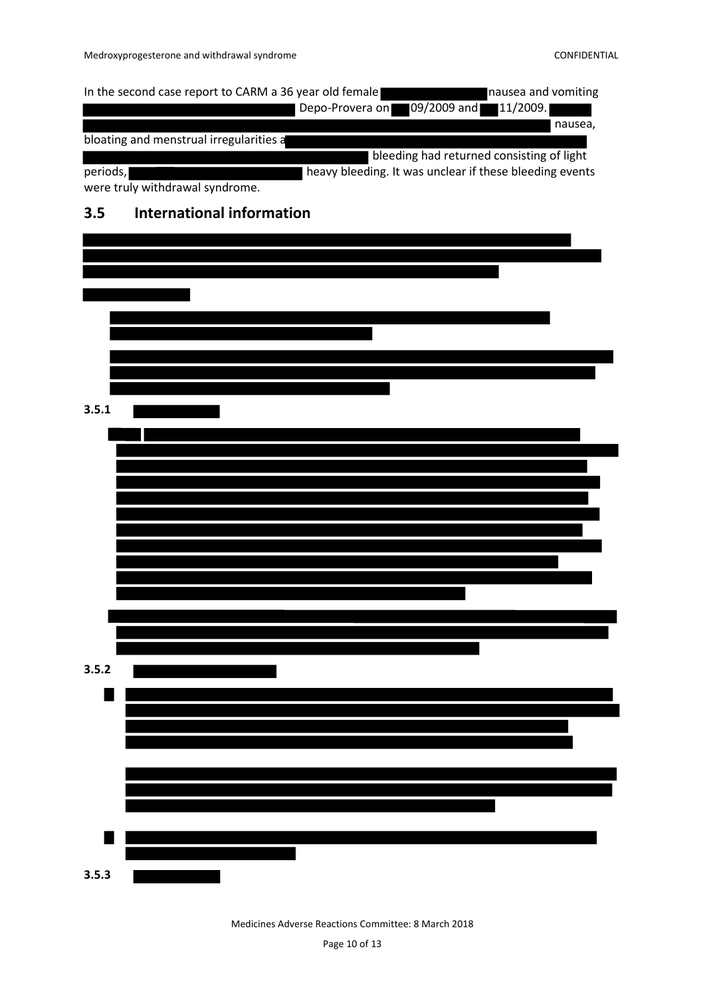<span id="page-9-0"></span>

|          | In the second case report to CARM a 36 year old female<br>nausea and vomiting              |
|----------|--------------------------------------------------------------------------------------------|
|          | 09/2009 and<br>11/2009.<br>Depo-Provera on                                                 |
|          | nausea,<br>bloating and menstrual irregularities a                                         |
|          | bleeding had returned consisting of light                                                  |
| periods, | heavy bleeding. It was unclear if these bleeding events<br>were truly withdrawal syndrome. |
| 3.5      | <b>International information</b>                                                           |
|          |                                                                                            |
|          |                                                                                            |
|          |                                                                                            |
|          |                                                                                            |
|          |                                                                                            |
|          |                                                                                            |
|          |                                                                                            |
|          |                                                                                            |
| 3.5.1    |                                                                                            |
|          |                                                                                            |
|          |                                                                                            |
|          |                                                                                            |
|          |                                                                                            |
|          |                                                                                            |
|          |                                                                                            |
|          |                                                                                            |
|          |                                                                                            |
|          |                                                                                            |
|          |                                                                                            |
|          |                                                                                            |
|          |                                                                                            |
| 3.5.2    |                                                                                            |
|          |                                                                                            |
|          |                                                                                            |
|          |                                                                                            |
|          |                                                                                            |
|          |                                                                                            |
|          |                                                                                            |
|          |                                                                                            |
|          |                                                                                            |
| 3.5.3    |                                                                                            |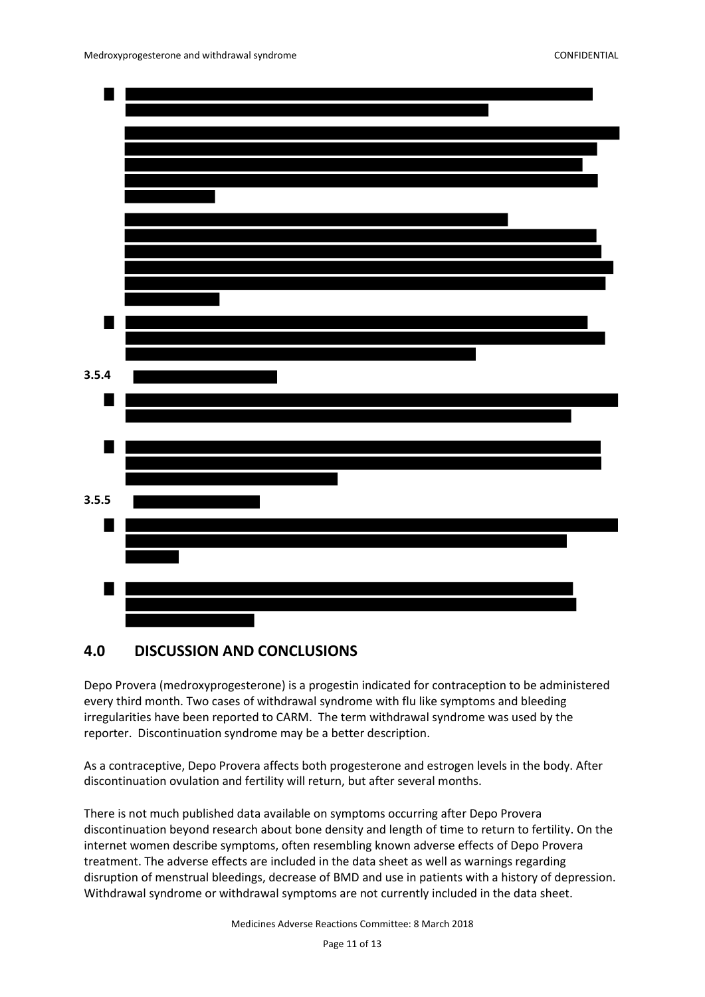

### <span id="page-10-0"></span>**4.0 DISCUSSION AND CONCLUSIONS**

Depo Provera (medroxyprogesterone) is a progestin indicated for contraception to be administered every third month. Two cases of withdrawal syndrome with flu like symptoms and bleeding irregularities have been reported to CARM. The term withdrawal syndrome was used by the reporter. Discontinuation syndrome may be a better description.

As a contraceptive, Depo Provera affects both progesterone and estrogen levels in the body. After discontinuation ovulation and fertility will return, but after several months.

There is not much published data available on symptoms occurring after Depo Provera discontinuation beyond research about bone density and length of time to return to fertility. On the internet women describe symptoms, often resembling known adverse effects of Depo Provera treatment. The adverse effects are included in the data sheet as well as warnings regarding disruption of menstrual bleedings, decrease of BMD and use in patients with a history of depression. Withdrawal syndrome or withdrawal symptoms are not currently included in the data sheet.

Medicines Adverse Reactions Committee: 8 March 2018

Page 11 of 13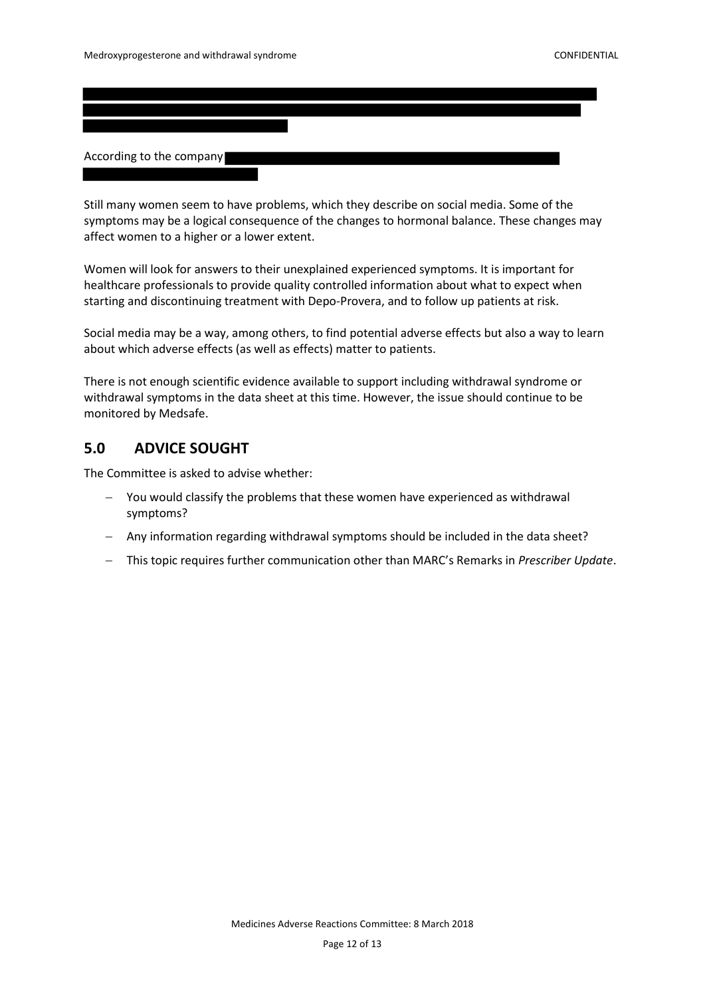According to the company

Still many women seem to have problems, which they describe on social media. Some of the symptoms may be a logical consequence of the changes to hormonal balance. These changes may affect women to a higher or a lower extent.

Women will look for answers to their unexplained experienced symptoms. It is important for healthcare professionals to provide quality controlled information about what to expect when starting and discontinuing treatment with Depo-Provera, and to follow up patients at risk.

Social media may be a way, among others, to find potential adverse effects but also a way to learn about which adverse effects (as well as effects) matter to patients.

There is not enough scientific evidence available to support including withdrawal syndrome or withdrawal symptoms in the data sheet at this time. However, the issue should continue to be monitored by Medsafe.

### <span id="page-11-0"></span>**5.0 ADVICE SOUGHT**

The Committee is asked to advise whether:

- You would classify the problems that these women have experienced as withdrawal symptoms?
- Any information regarding withdrawal symptoms should be included in the data sheet?
- This topic requires further communication other than MARC's Remarks in *Prescriber Update*.